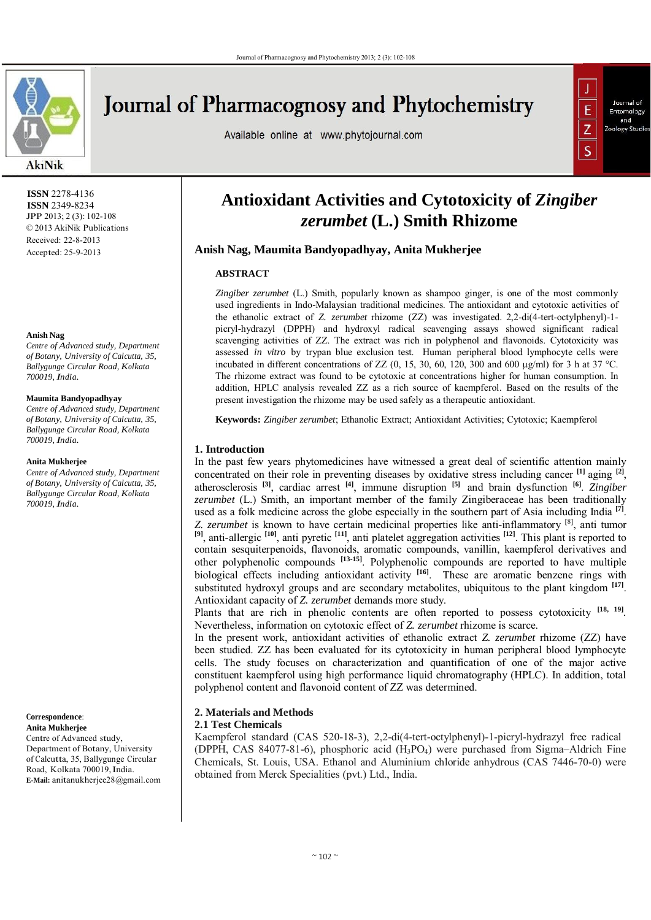

# **Journal of Pharmacognosy and Phytochemistry**

Available online at www.phytojournal.com



 **ISSN** 2278-4136  **ISSN** 2349-8234 JPP 2013; 2 (3): 102-108 © 2013 AkiNik Publications Received: 22-8-2013 Accepted: 25-9-2013

#### **Anish Nag**

*Centre of Advanced study, Department of Botany, University of Calcutta, 35, Ballygunge Circular Road, Kolkata 700019, India.*

## **Maumita Bandyopadhyay**

*Centre of Advanced study, Department of Botany, University of Calcutta, 35, Ballygunge Circular Road, Kolkata 700019, India.*

#### **Anita Mukherjee**

*Centre of Advanced study, Department of Botany, University of Calcutta, 35, Ballygunge Circular Road, Kolkata 700019, India.*

**Correspondence**: **Anita Mukherjee** Centre of Advanced study, Department of Botany, University of Calcutta, 35, Ballygunge Circular Road, Kolkata 700019, India. **E-Mail:** anitanukherjee28@gmail.com

## **Antioxidant Activities and Cytotoxicity of** *Zingiber zerumbet* **(L.) Smith Rhizome**

## **Anish Nag, Maumita Bandyopadhyay, Anita Mukherjee**

## **ABSTRACT**

*Zingiber zerumbet* (L.) Smith, popularly known as shampoo ginger, is one of the most commonly used ingredients in Indo-Malaysian traditional medicines. The antioxidant and cytotoxic activities of the ethanolic extract of *Z. zerumbet* rhizome (ZZ) was investigated. 2,2-di(4-tert-octylphenyl)-1 picryl-hydrazyl (DPPH) and hydroxyl radical scavenging assays showed significant radical scavenging activities of ZZ. The extract was rich in polyphenol and flavonoids. Cytotoxicity was assessed *in vitro* by trypan blue exclusion test. Human peripheral blood lymphocyte cells were incubated in different concentrations of ZZ  $(0, 15, 30, 60, 120, 300, 600, \mu g/ml)$  for 3 h at 37 °C. The rhizome extract was found to be cytotoxic at concentrations higher for human consumption. In addition, HPLC analysis revealed ZZ as a rich source of kaempferol. Based on the results of the present investigation the rhizome may be used safely as a therapeutic antioxidant.

**Keywords:** *Zingiber zerumbet*; Ethanolic Extract; Antioxidant Activities; Cytotoxic; Kaempferol

## **1. Introduction**

In the past few years phytomedicines have witnessed a great deal of scientific attention mainly concentrated on their role in preventing diseases by oxidative stress including cancer **[1]** aging **[2]**, atherosclerosis **[3]**, cardiac arrest **[4]**, immune disruption **[5]** and brain dysfunction **[6]**. *Zingiber zerumbet* (L.) Smith, an important member of the family Zingiberaceae has been traditionally used as a folk medicine across the globe especially in the southern part of Asia including India **[7]**. *Z. zerumbet* is known to have certain medicinal properties like anti-inflammatory <sup>[8]</sup>, anti tumor **[9]**, anti-allergic **[10]**, anti pyretic **[11]**, anti platelet aggregation activities **[12]**. This plant is reported to contain sesquiterpenoids, flavonoids, aromatic compounds, vanillin, kaempferol derivatives and other polyphenolic compounds **[13-15]**. Polyphenolic compounds are reported to have multiple biological effects including antioxidant activity **[16]**. These are aromatic benzene rings with substituted hydroxyl groups and are secondary metabolites, ubiquitous to the plant kingdom **[17]**. Antioxidant capacity of *Z. zerumbet* demands more study.

Plants that are rich in phenolic contents are often reported to possess cytotoxicity **[18, 19]**. Nevertheless, information on cytotoxic effect of *Z. zerumbet* rhizome is scarce.

In the present work, antioxidant activities of ethanolic extract *Z. zerumbet* rhizome (ZZ) have been studied. ZZ has been evaluated for its cytotoxicity in human peripheral blood lymphocyte cells. The study focuses on characterization and quantification of one of the major active constituent kaempferol using high performance liquid chromatography (HPLC). In addition, total polyphenol content and flavonoid content of ZZ was determined.

## **2. Materials and Methods**

**2.1 Test Chemicals**

Kaempferol standard (CAS 520-18-3), 2,2-di(4-tert-octylphenyl)-1-picryl-hydrazyl free radical (DPPH, CAS 84077-81-6), phosphoric acid (H3PO4) were purchased from Sigma–Aldrich Fine Chemicals, St. Louis, USA. Ethanol and Aluminium chloride anhydrous (CAS 7446-70-0) were obtained from Merck Specialities (pvt.) Ltd., India.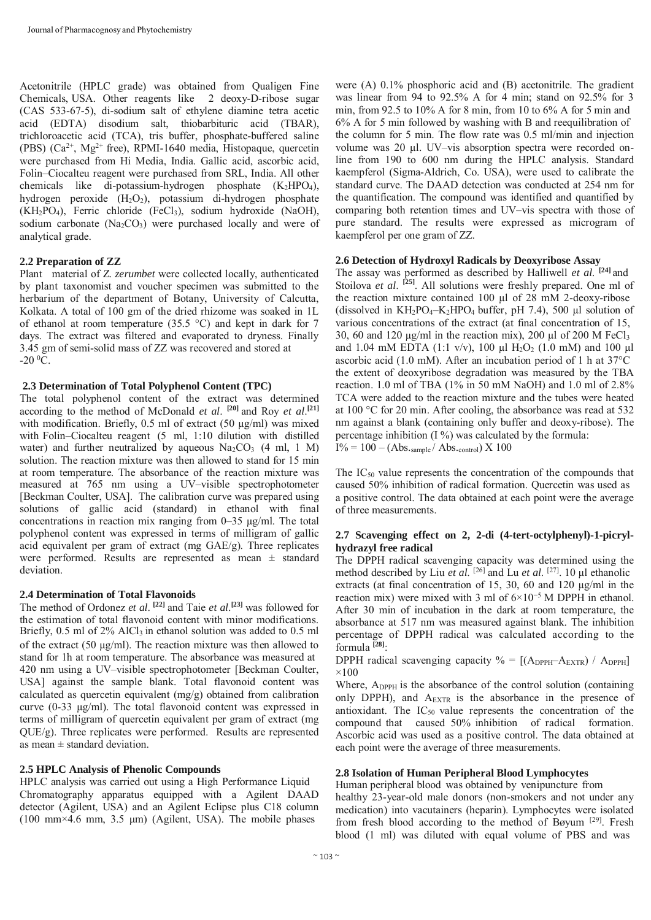Acetonitrile (HPLC grade) was obtained from Qualigen Fine Chemicals, USA. Other reagents like 2 deoxy-D-ribose sugar (CAS 533-67-5), di-sodium salt of ethylene diamine tetra acetic acid (EDTA) disodium salt, thiobarbituric acid (TBAR), trichloroacetic acid (TCA), tris buffer, phosphate-buffered saline (PBS) (Ca2+, Mg2+ free), RPMI-1640 media, Histopaque, quercetin were purchased from Hi Media, India. Gallic acid, ascorbic acid, Folin–Ciocalteu reagent were purchased from SRL, India. All other chemicals like di-potassium-hydrogen phosphate  $(K_2HPO_4)$ , hydrogen peroxide  $(H_2O_2)$ , potassium di-hydrogen phosphate  $(KH_2PO_4)$ , Ferric chloride (FeCl<sub>3</sub>), sodium hydroxide (NaOH), sodium carbonate  $(Na_2CO_3)$  were purchased locally and were of analytical grade.

## **2.2 Preparation of ZZ**

Plant material of *Z. zerumbet* were collected locally, authenticated by plant taxonomist and voucher specimen was submitted to the herbarium of the department of Botany, University of Calcutta, Kolkata. A total of 100 gm of the dried rhizome was soaked in 1L of ethanol at room temperature (35.5 °C) and kept in dark for 7 days. The extract was filtered and evaporated to dryness. Finally 3.45 gm of semi-solid mass of ZZ was recovered and stored at  $-20\,^0C$ .

## **2.3 Determination of Total Polyphenol Content (TPC)**

The total polyphenol content of the extract was determined according to the method of McDonald *et al*. **[20]** and Roy *et al*. **[21]**  with modification. Briefly, 0.5 ml of extract (50 µg/ml) was mixed with Folin–Ciocalteu reagent (5 ml, 1:10 dilution with distilled water) and further neutralized by aqueous  $Na<sub>2</sub>CO<sub>3</sub>$  (4 ml, 1 M) solution. The reaction mixture was then allowed to stand for 15 min at room temperature. The absorbance of the reaction mixture was measured at 765 nm using a UV–visible spectrophotometer [Beckman Coulter, USA]. The calibration curve was prepared using solutions of gallic acid (standard) in ethanol with final concentrations in reaction mix ranging from 0–35 µg/ml. The total polyphenol content was expressed in terms of milligram of gallic acid equivalent per gram of extract (mg GAE/g). Three replicates were performed. Results are represented as mean  $\pm$  standard deviation.

## **2.4 Determination of Total Flavonoids**

The method of Ordonez *et al*. **[22]** and Taie *et al*. **[23]** was followed for the estimation of total flavonoid content with minor modifications. Briefly, 0.5 ml of 2% AlCl<sub>3</sub> in ethanol solution was added to 0.5 ml of the extract (50 µg/ml). The reaction mixture was then allowed to stand for 1h at room temperature. The absorbance was measured at 420 nm using a UV–visible spectrophotometer [Beckman Coulter, USA] against the sample blank. Total flavonoid content was calculated as quercetin equivalent (mg/g) obtained from calibration curve (0-33 µg/ml). The total flavonoid content was expressed in terms of milligram of quercetin equivalent per gram of extract (mg QUE/g). Three replicates were performed. Results are represented as mean  $\pm$  standard deviation.

## **2.5 HPLC Analysis of Phenolic Compounds**

HPLC analysis was carried out using a High Performance Liquid Chromatography apparatus equipped with a Agilent DAAD detector (Agilent, USA) and an Agilent Eclipse plus C18 column (100 mm $\times$ 4.6 mm, 3.5 µm) (Agilent, USA). The mobile phases

were (A) 0.1% phosphoric acid and (B) acetonitrile. The gradient was linear from 94 to 92.5% A for 4 min; stand on 92.5% for 3 min, from 92.5 to 10% A for 8 min, from 10 to 6% A for 5 min and 6% A for 5 min followed by washing with B and reequilibration of the column for 5 min. The flow rate was 0.5 ml/min and injection volume was 20 μl. UV–vis absorption spectra were recorded online from 190 to 600 nm during the HPLC analysis. Standard kaempferol (Sigma-Aldrich, Co. USA), were used to calibrate the standard curve. The DAAD detection was conducted at 254 nm for the quantification. The compound was identified and quantified by comparing both retention times and UV–vis spectra with those of pure standard. The results were expressed as microgram of kaempferol per one gram of ZZ.

## **2.6 Detection of Hydroxyl Radicals by Deoxyribose Assay**

The assay was performed as described by Halliwell *et al*. **[24]** and Stoilova *et al.* <sup>[25]</sup>. All solutions were freshly prepared. One ml of the reaction mixture contained 100 µl of 28 mM 2-deoxy-ribose (dissolved in  $KH_2PO_4-K_2HPO_4$  buffer, pH 7.4), 500 µl solution of various concentrations of the extract (at final concentration of 15, 30, 60 and 120  $\mu$ g/ml in the reaction mix), 200  $\mu$ l of 200 M FeCl<sub>3</sub> and 1.04 mM EDTA (1:1 v/v), 100 µl  $H_2O_2$  (1.0 mM) and 100 µl ascorbic acid (1.0 mM). After an incubation period of 1 h at 37°C the extent of deoxyribose degradation was measured by the TBA reaction. 1.0 ml of TBA (1% in 50 mM NaOH) and 1.0 ml of 2.8% TCA were added to the reaction mixture and the tubes were heated at 100 °C for 20 min. After cooling, the absorbance was read at 532 nm against a blank (containing only buffer and deoxy-ribose). The percentage inhibition  $(1\%)$  was calculated by the formula:  $I\% = 100 - (Abs.\text{sample}/Abs.\text{control}) \times 100$ 

The  $IC_{50}$  value represents the concentration of the compounds that caused 50% inhibition of radical formation. Quercetin was used as a positive control. The data obtained at each point were the average of three measurements.

## **2.7 Scavenging effect on 2, 2-di (4-tert-octylphenyl)-1-picrylhydrazyl free radical**

The DPPH radical scavenging capacity was determined using the method described by Liu *et al*. [26] and Lu *et al*. [27]. 10 μl ethanolic extracts (at final concentration of 15, 30, 60 and 120 µg/ml in the reaction mix) were mixed with 3 ml of 6×10<sup>−</sup>5 M DPPH in ethanol. After 30 min of incubation in the dark at room temperature, the absorbance at 517 nm was measured against blank. The inhibition percentage of DPPH radical was calculated according to the formula **[28]**:

DPPH radical scavenging capacity  $\% = [(A_{DPPH}-A_{EXTR}) / A_{DPPH}]$  $\times100$ 

Where, A<sub>DPPH</sub> is the absorbance of the control solution (containing only DPPH), and A<sub>EXTR</sub> is the absorbance in the presence of antioxidant. The  $IC_{50}$  value represents the concentration of the compound that caused 50% inhibition of radical formation. Ascorbic acid was used as a positive control. The data obtained at each point were the average of three measurements.

## **2.8 Isolation of Human Peripheral Blood Lymphocytes**

Human peripheral blood was obtained by venipuncture from healthy 23-year-old male donors (non-smokers and not under any medication) into vacutainers (heparin). Lymphocytes were isolated from fresh blood according to the method of Bøyum [29]. Fresh blood (1 ml) was diluted with equal volume of PBS and was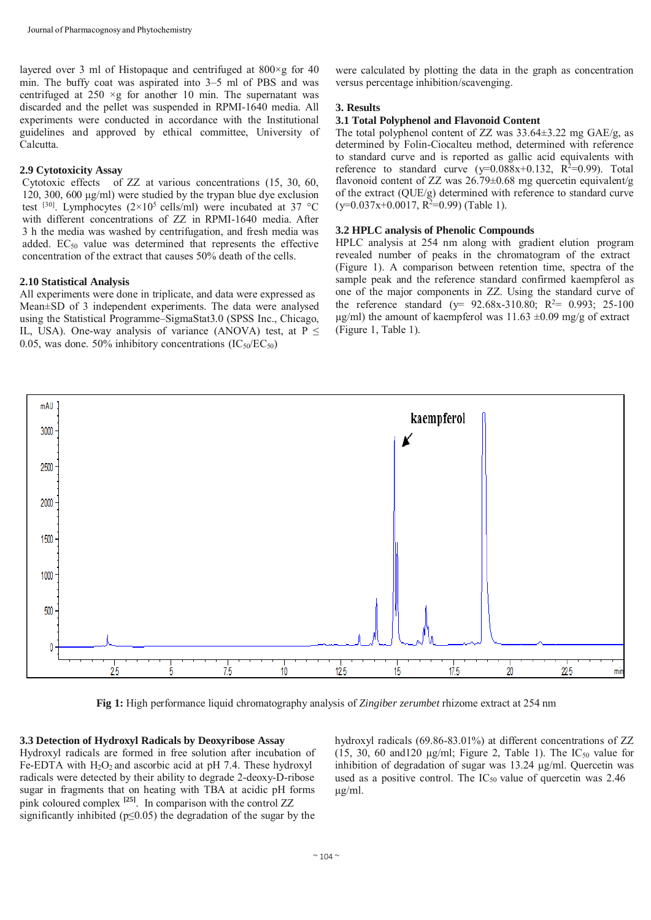layered over 3 ml of Histopaque and centrifuged at  $800 \times g$  for 40 min. The buffy coat was aspirated into 3–5 ml of PBS and was centrifuged at  $250 \times g$  for another 10 min. The supernatant was discarded and the pellet was suspended in RPMI-1640 media. All experiments were conducted in accordance with the Institutional guidelines and approved by ethical committee, University of Calcutta.

## **2.9 Cytotoxicity Assay**

Cytotoxic effects of ZZ at various concentrations (15, 30, 60, 120, 300, 600 µg/ml) were studied by the trypan blue dye exclusion test <sup>[30]</sup>. Lymphocytes  $(2\times10^5 \text{ cells/ml})$  were incubated at 37 °C with different concentrations of ZZ in RPMI-1640 media. After 3 h the media was washed by centrifugation, and fresh media was added. EC<sub>50</sub> value was determined that represents the effective concentration of the extract that causes 50% death of the cells.

## **2.10 Statistical Analysis**

All experiments were done in triplicate, and data were expressed as Mean±SD of 3 independent experiments. The data were analysed using the Statistical Programme–SigmaStat3.0 (SPSS Inc., Chicago, IL, USA). One-way analysis of variance (ANOVA) test, at  $P \leq$ 0.05, was done. 50% inhibitory concentrations  $(IC_{50}/EC_{50})$ 

were calculated by plotting the data in the graph as concentration versus percentage inhibition/scavenging.

#### **3. Results**

### **3.1 Total Polyphenol and Flavonoid Content**

The total polyphenol content of ZZ was 33.64±3.22 mg GAE/g, as determined by Folin-Ciocalteu method, determined with reference to standard curve and is reported as gallic acid equivalents with reference to standard curve  $(y=0.088x+0.132, R^2=0.99)$ . Total flavonoid content of ZZ was 26.79±0.68 mg quercetin equivalent/g of the extract (QUE/g) determined with reference to standard curve  $(y=0.037x+0.0017, R^2=0.99)$  (Table 1).

## **3.2 HPLC analysis of Phenolic Compounds**

HPLC analysis at 254 nm along with gradient elution program revealed number of peaks in the chromatogram of the extract (Figure 1). A comparison between retention time, spectra of the sample peak and the reference standard confirmed kaempferol as one of the major components in ZZ. Using the standard curve of the reference standard ( $y=$  92.68x-310.80; R<sup>2</sup>= 0.993; 25-100  $\mu$ g/ml) the amount of kaempferol was 11.63 ±0.09 mg/g of extract (Figure 1, Table 1).



**Fig 1:** High performance liquid chromatography analysis of *Zingiber zerumbet* rhizome extract at 254 nm

#### **3.3 Detection of Hydroxyl Radicals by Deoxyribose Assay**

Hydroxyl radicals are formed in free solution after incubation of Fe-EDTA with  $H_2O_2$  and ascorbic acid at pH 7.4. These hydroxyl radicals were detected by their ability to degrade 2-deoxy-D-ribose sugar in fragments that on heating with TBA at acidic pH forms pink coloured complex **[25]**. In comparison with the control ZZ significantly inhibited ( $p \le 0.05$ ) the degradation of the sugar by the

hydroxyl radicals (69.86-83.01%) at different concentrations of ZZ (15, 30, 60 and 120  $\mu$ g/ml; Figure 2, Table 1). The IC<sub>50</sub> value for inhibition of degradation of sugar was 13.24 µg/ml. Quercetin was used as a positive control. The  $IC_{50}$  value of quercetin was 2.46 µg/ml.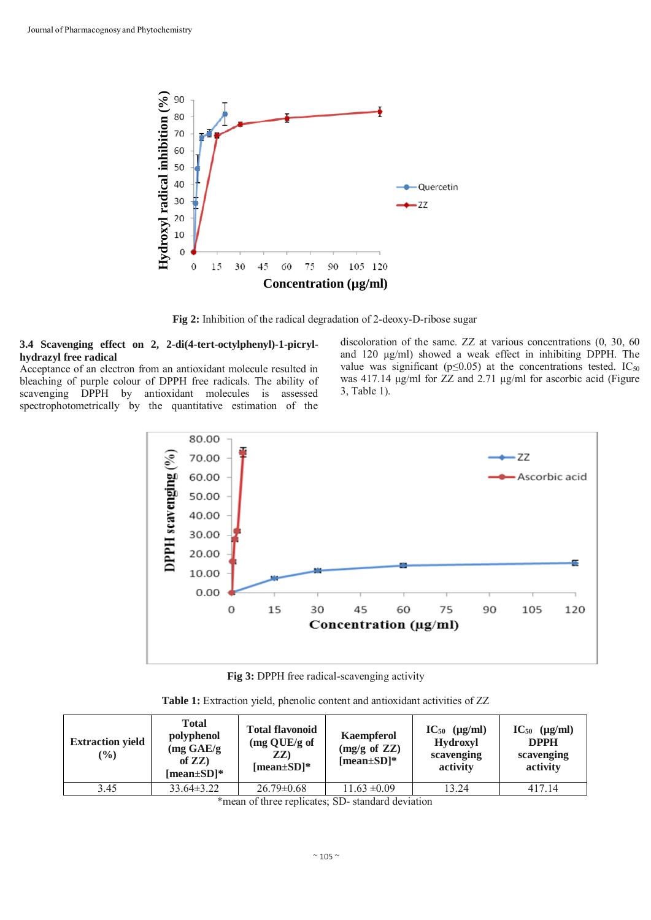

**Fig 2:** Inhibition of the radical degradation of 2-deoxy-D-ribose sugar

## **3.4 Scavenging effect on 2, 2-di(4-tert-octylphenyl)-1-picrylhydrazyl free radical**

Acceptance of an electron from an antioxidant molecule resulted in bleaching of purple colour of DPPH free radicals. The ability of scavenging DPPH by antioxidant molecules is assessed spectrophotometrically by the quantitative estimation of the

discoloration of the same. ZZ at various concentrations (0, 30, 60 and 120 µg/ml) showed a weak effect in inhibiting DPPH. The value was significant ( $p \le 0.05$ ) at the concentrations tested. IC<sub>50</sub> was 417.14 µg/ml for ZZ and 2.71 µg/ml for ascorbic acid (Figure 3, Table 1).



**Fig 3:** DPPH free radical-scavenging activity

| Table 1: Extraction yield, phenolic content and antioxidant activities of ZZ |  |  |  |
|------------------------------------------------------------------------------|--|--|--|
|------------------------------------------------------------------------------|--|--|--|

| <b>Extraction yield</b><br>$(\%)$ | <b>Total</b><br>polyphenol<br>$(mg \text{ GAE/g})$<br>of $ZZ$ )<br>[mean $\pm$ SD]* | <b>Total flavonoid</b><br>$(mg \text{ QUE/g of})$<br>ZZ)<br>[mean $\pm$ SD]* | Kaempferol<br>$(mg/g \text{ of } ZZ)$<br>[mean $\pm$ SD]* | $IC_{50}$ ( $\mu$ g/ml)<br><b>Hydroxyl</b><br>scavenging<br>activity | $IC_{50}$ ( $\mu$ g/ml)<br><b>DPPH</b><br>scavenging<br>activity |
|-----------------------------------|-------------------------------------------------------------------------------------|------------------------------------------------------------------------------|-----------------------------------------------------------|----------------------------------------------------------------------|------------------------------------------------------------------|
| 3.45                              | $33.64\pm3.22$                                                                      | $26.79 \pm 0.68$                                                             | $11.63 \pm 0.09$                                          | 13.24                                                                | 417.14                                                           |

\*mean of three replicates; SD- standard deviation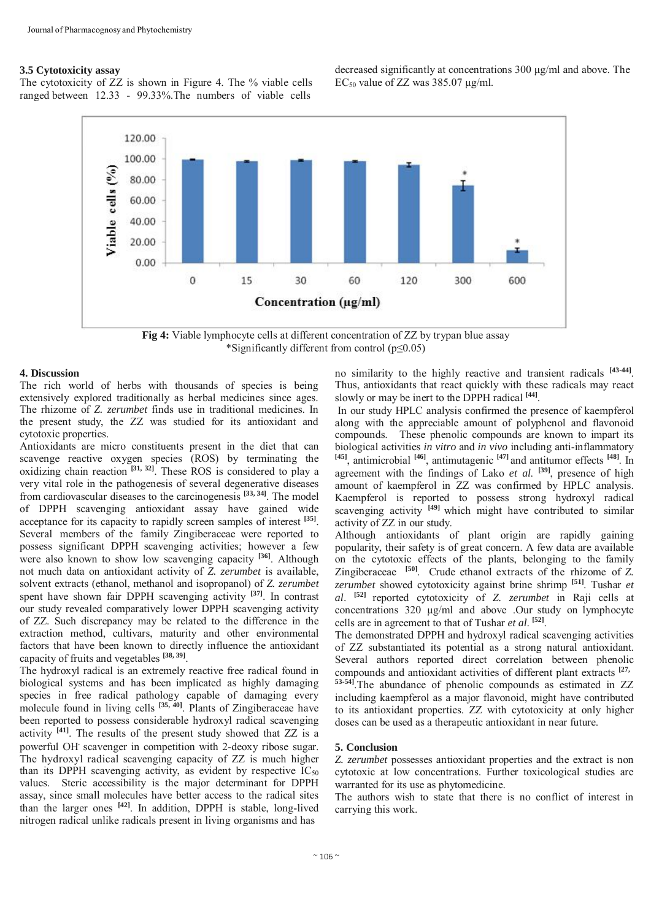#### **3.5 Cytotoxicity assay**

The cytotoxicity of ZZ is shown in Figure 4. The % viable cells ranged between 12.33 - 99.33%.The numbers of viable cells

decreased significantly at concentrations 300 µg/ml and above. The EC<sub>50</sub> value of ZZ was  $385.07 \text{ µg/ml}$ .



**Fig 4:** Viable lymphocyte cells at different concentration of ZZ by trypan blue assay \*Significantly different from control (p≤0.05)

#### **4. Discussion**

The rich world of herbs with thousands of species is being extensively explored traditionally as herbal medicines since ages. The rhizome of *Z. zerumbet* finds use in traditional medicines. In the present study, the ZZ was studied for its antioxidant and cytotoxic properties.

Antioxidants are micro constituents present in the diet that can scavenge reactive oxygen species (ROS) by terminating the oxidizing chain reaction **[31, 32]**. These ROS is considered to play a very vital role in the pathogenesis of several degenerative diseases from cardiovascular diseases to the carcinogenesis **[33, 34]**. The model of DPPH scavenging antioxidant assay have gained wide acceptance for its capacity to rapidly screen samples of interest **[35]**. Several members of the family Zingiberaceae were reported to possess significant DPPH scavenging activities; however a few were also known to show low scavenging capacity **[36]**. Although not much data on antioxidant activity of *Z. zerumbet* is available, solvent extracts (ethanol, methanol and isopropanol) of *Z. zerumbet*  spent have shown fair DPPH scavenging activity **[37]**. In contrast our study revealed comparatively lower DPPH scavenging activity of ZZ. Such discrepancy may be related to the difference in the extraction method, cultivars, maturity and other environmental factors that have been known to directly influence the antioxidant capacity of fruits and vegetables **[38, 39]**.

The hydroxyl radical is an extremely reactive free radical found in biological systems and has been implicated as highly damaging species in free radical pathology capable of damaging every molecule found in living cells <sup>[35, 40]</sup>. Plants of Zingiberaceae have been reported to possess considerable hydroxyl radical scavenging activity **[41]**. The results of the present study showed that ZZ is a powerful OH**.** scavenger in competition with 2-deoxy ribose sugar. The hydroxyl radical scavenging capacity of ZZ is much higher than its DPPH scavenging activity, as evident by respective  $IC_{50}$ values. Steric accessibility is the major determinant for DPPH assay, since small molecules have better access to the radical sites than the larger ones **[42]**. In addition, DPPH is stable, long-lived nitrogen radical unlike radicals present in living organisms and has

no similarity to the highly reactive and transient radicals **[43-44]**. Thus, antioxidants that react quickly with these radicals may react slowly or may be inert to the DPPH radical **[44]**.

In our study HPLC analysis confirmed the presence of kaempferol along with the appreciable amount of polyphenol and flavonoid compounds. These phenolic compounds are known to impart its biological activities *in vitro* and *in vivo* including anti-inflammatory **[45]**, antimicrobial **[46]**, antimutagenic **[47]** and antitumor effects **[48]**. In agreement with the findings of Lako *et al*. **[39]**, presence of high amount of kaempferol in ZZ was confirmed by HPLC analysis. Kaempferol is reported to possess strong hydroxyl radical scavenging activity <sup>[49]</sup> which might have contributed to similar activity of ZZ in our study.

Although antioxidants of plant origin are rapidly gaining popularity, their safety is of great concern. A few data are available on the cytotoxic effects of the plants, belonging to the family Zingiberaceae **[50]**. Crude ethanol extracts of the rhizome of *Z. zerumbet* showed cytotoxicity against brine shrimp **[51]**. Tushar *et al*. **[52]** reported cytotoxicity of *Z. zerumbet* in Raji cells at concentrations 320 µg/ml and above .Our study on lymphocyte cells are in agreement to that of Tushar *et al*. **[52]**.

The demonstrated DPPH and hydroxyl radical scavenging activities of ZZ substantiated its potential as a strong natural antioxidant. Several authors reported direct correlation between phenolic compounds and antioxidant activities of different plant extracts **[27, 53-54]**.The abundance of phenolic compounds as estimated in ZZ including kaempferol as a major flavonoid, might have contributed to its antioxidant properties. ZZ with cytotoxicity at only higher doses can be used as a therapeutic antioxidant in near future.

#### **5. Conclusion**

*Z. zerumbet* possesses antioxidant properties and the extract is non cytotoxic at low concentrations. Further toxicological studies are warranted for its use as phytomedicine.

The authors wish to state that there is no conflict of interest in carrying this work.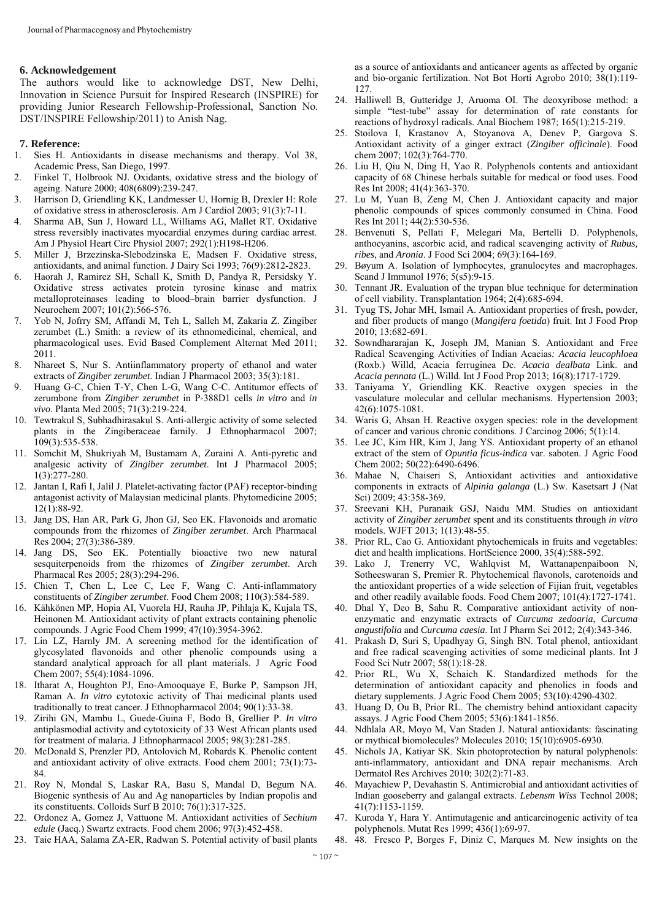#### **6. Acknowledgement**

The authors would like to acknowledge DST, New Delhi, Innovation in Science Pursuit for Inspired Research (INSPIRE) for providing Junior Research Fellowship-Professional, Sanction No. DST/INSPIRE Fellowship/2011) to Anish Nag.

#### **7. Reference:**

- 1. Sies H. Antioxidants in disease mechanisms and therapy. Vol 38, Academic Press, San Diego, 1997.
- 2. Finkel T, Holbrook NJ. Oxidants, oxidative stress and the biology of ageing. Nature 2000; 408(6809):239-247.
- 3. Harrison D, Griendling KK, Landmesser U, Hornig B, Drexler H: Role of oxidative stress in atherosclerosis. Am J Cardiol 2003; 91(3):7-11.
- 4. Sharma AB, Sun J, Howard LL, Williams AG, Mallet RT. Oxidative stress reversibly inactivates myocardial enzymes during cardiac arrest. Am J Physiol Heart Circ Physiol 2007; 292(1):H198-H206.
- 5. Miller J, Brzezinska-Slebodzinska E, Madsen F. Oxidative stress, antioxidants, and animal function. J Dairy Sci 1993; 76(9):2812-2823.
- 6. Haorah J, Ramirez SH, Schall K, Smith D, Pandya R, Persidsky Y. Oxidative stress activates protein tyrosine kinase and matrix metalloproteinases leading to blood–brain barrier dysfunction. J Neurochem 2007; 101(2):566-576.
- 7. Yob N, Jofrry SM, Affandi M, Teh L, Salleh M, Zakaria Z. Zingiber zerumbet (L.) Smith: a review of its ethnomedicinal, chemical, and pharmacological uses. Evid Based Complement Alternat Med 2011; 2011.
- 8. Nhareet S, Nur S. Antiinflammatory property of ethanol and water extracts of *Zingiber zerumbet*. Indian J Pharmacol 2003; 35(3):181.
- 9. Huang G-C, Chien T-Y, Chen L-G, Wang C-C. Antitumor effects of zerumbone from *Zingiber zerumbet* in P-388D1 cells *in vitro* and *in vivo*. Planta Med 2005; 71(3):219-224.
- 10. Tewtrakul S, Subhadhirasakul S. Anti-allergic activity of some selected plants in the Zingiberaceae family. J Ethnopharmacol 2007; 109(3):535-538.
- 11. Somchit M, Shukriyah M, Bustamam A, Zuraini A. Anti-pyretic and analgesic activity of *Zingiber zerumbet*. Int J Pharmacol 2005; 1(3):277-280.
- 12. Jantan I, Rafi I, Jalil J. Platelet-activating factor (PAF) receptor-binding antagonist activity of Malaysian medicinal plants. Phytomedicine 2005; 12(1):88-92.
- 13. Jang DS, Han AR, Park G, Jhon GJ, Seo EK. Flavonoids and aromatic compounds from the rhizomes of *Zingiber zerumbet*. Arch Pharmacal Res 2004; 27(3):386-389.
- 14. Jang DS, Seo EK. Potentially bioactive two new natural sesquiterpenoids from the rhizomes of *Zingiber zerumbet*. Arch Pharmacal Res 2005; 28(3):294-296.
- 15. Chien T, Chen L, Lee C, Lee F, Wang C. Anti-inflammatory constituents of *Zingiber zerumbet*. Food Chem 2008; 110(3):584-589.
- 16. Kähkönen MP, Hopia AI, Vuorela HJ, Rauha JP, Pihlaja K, Kujala TS, Heinonen M. Antioxidant activity of plant extracts containing phenolic compounds. J Agric Food Chem 1999; 47(10):3954-3962.
- 17. Lin LZ, Harnly JM. A screening method for the identification of glycosylated flavonoids and other phenolic compounds using a standard analytical approach for all plant materials. J Agric Food Chem 2007; 55(4):1084-1096.
- 18. Itharat A, Houghton PJ, Eno-Amooquaye E, Burke P, Sampson JH, Raman A. *In vitro* cytotoxic activity of Thai medicinal plants used traditionally to treat cancer. J Ethnopharmacol 2004; 90(1):33-38.
- 19. Zirihi GN, Mambu L, Guede-Guina F, Bodo B, Grellier P. *In vitro* antiplasmodial activity and cytotoxicity of 33 West African plants used for treatment of malaria. J Ethnopharmacol 2005; 98(3):281-285.
- 20. McDonald S, Prenzler PD, Antolovich M, Robards K. Phenolic content and antioxidant activity of olive extracts. Food chem 2001; 73(1):73- 84.
- 21. Roy N, Mondal S, Laskar RA, Basu S, Mandal D, Begum NA. Biogenic synthesis of Au and Ag nanoparticles by Indian propolis and its constituents. Colloids Surf B 2010; 76(1):317-325.
- 22. Ordonez A, Gomez J, Vattuone M. Antioxidant activities of *Sechium edule* (Jacq.) Swartz extracts. Food chem 2006; 97(3):452-458.
- 23. Taie HAA, Salama ZA-ER, Radwan S. Potential activity of basil plants

as a source of antioxidants and anticancer agents as affected by organic and bio-organic fertilization. Not Bot Horti Agrobo 2010; 38(1):119- 127.

- 24. Halliwell B, Gutteridge J, Aruoma OI. The deoxyribose method: a simple "test-tube" assay for determination of rate constants for reactions of hydroxyl radicals. Anal Biochem 1987; 165(1):215-219.
- 25. Stoilova I, Krastanov A, Stoyanova A, Denev P, Gargova S. Antioxidant activity of a ginger extract (*Zingiber officinale*). Food chem 2007; 102(3):764-770.
- 26. Liu H, Qiu N, Ding H, Yao R. Polyphenols contents and antioxidant capacity of 68 Chinese herbals suitable for medical or food uses. Food Res Int 2008; 41(4):363-370.
- 27. Lu M, Yuan B, Zeng M, Chen J. Antioxidant capacity and major phenolic compounds of spices commonly consumed in China. Food Res Int 2011; 44(2):530-536.
- 28. Benvenuti S, Pellati F, Melegari Ma, Bertelli D. Polyphenols, anthocyanins, ascorbic acid, and radical scavenging activity of *Rubus, ribes*, and *Aronia*. J Food Sci 2004; 69(3):164-169.
- 29. Bøyum A. Isolation of lymphocytes, granulocytes and macrophages. Scand J Immunol 1976; 5(s5):9-15.
- 30. Tennant JR. Evaluation of the trypan blue technique for determination of cell viability. Transplantation 1964; 2(4):685-694.
- 31. Tyug TS, Johar MH, Ismail A. Antioxidant properties of fresh, powder, and fiber products of mango (*Mangifera foetida*) fruit. Int J Food Prop 2010; 13:682-691.
- 32. Sowndhararajan K, Joseph JM, Manian S. Antioxidant and Free Radical Scavenging Activities of Indian Acacias*: Acacia leucophloea* (Roxb.) Willd, Acacia ferruginea Dc. *Acacia dealbata* Link. and *Acacia pennata* (L.) Willd. Int J Food Prop 2013; 16(8):1717-1729.
- 33. Taniyama Y, Griendling KK. Reactive oxygen species in the vasculature molecular and cellular mechanisms. Hypertension 2003; 42(6):1075-1081.
- 34. Waris G, Ahsan H. Reactive oxygen species: role in the development of cancer and various chronic conditions. J Carcinog 2006; 5(1):14.
- 35. Lee JC, Kim HR, Kim J, Jang YS. Antioxidant property of an ethanol extract of the stem of *Opuntia ficus-indica* var. saboten. J Agric Food Chem 2002; 50(22):6490-6496.
- 36. Mahae N, Chaiseri S, Antioxidant activities and antioxidative components in extracts of *Alpinia galanga* (L.) Sw. Kasetsart J (Nat Sci) 2009; 43:358-369.
- 37. Sreevani KH, Puranaik GSJ, Naidu MM. Studies on antioxidant activity of *Zingiber zerumbet* spent and its constituents through *in vitro* models. WJFT 2013; 1(13):48-55.
- 38. Prior RL, Cao G. Antioxidant phytochemicals in fruits and vegetables: diet and health implications. HortScience 2000, 35(4):588-592.
- 39. Lako J, Trenerry VC, Wahlqvist M, Wattanapenpaiboon N, Sotheeswaran S, Premier R. Phytochemical flavonols, carotenoids and the antioxidant properties of a wide selection of Fijian fruit, vegetables and other readily available foods. Food Chem 2007; 101(4):1727-1741.
- 40. Dhal Y, Deo B, Sahu R. Comparative antioxidant activity of nonenzymatic and enzymatic extracts of *Curcuma zedoaria*, *Curcuma angustifolia* and *Curcuma caesia*. Int J Pharm Sci 2012; 2(4):343-346.
- 41. Prakash D, Suri S, Upadhyay G, Singh BN. Total phenol, antioxidant and free radical scavenging activities of some medicinal plants. Int J Food Sci Nutr 2007; 58(1):18-28.
- 42. Prior RL, Wu X, Schaich K. Standardized methods for the determination of antioxidant capacity and phenolics in foods and dietary supplements. J Agric Food Chem 2005; 53(10):4290-4302.
- 43. Huang D, Ou B, Prior RL. The chemistry behind antioxidant capacity assays. J Agric Food Chem 2005; 53(6):1841-1856.
- 44. Ndhlala AR, Moyo M, Van Staden J. Natural antioxidants: fascinating or mythical biomolecules? Molecules 2010; 15(10):6905-6930.
- 45. Nichols JA, Katiyar SK. Skin photoprotection by natural polyphenols: anti-inflammatory, antioxidant and DNA repair mechanisms. Arch Dermatol Res Archives 2010; 302(2):71-83.
- 46. Mayachiew P, Devahastin S. Antimicrobial and antioxidant activities of Indian gooseberry and galangal extracts. *Lebensm Wiss* Technol 2008; 41(7):1153-1159.
- 47. Kuroda Y, Hara Y. Antimutagenic and anticarcinogenic activity of tea polyphenols. Mutat Res 1999; 436(1):69-97.
- 48. 48. Fresco P, Borges F, Diniz C, Marques M. New insights on the